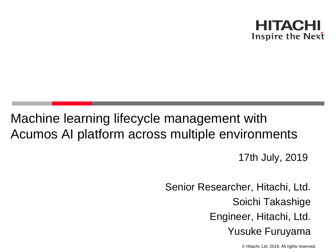

# Machine learning lifecycle management with Acumos AI platform across multiple environments

17th July, 2019

Senior Researcher, Hitachi, Ltd. Soichi Takashige Engineer, Hitachi, Ltd. Yusuke Furuyama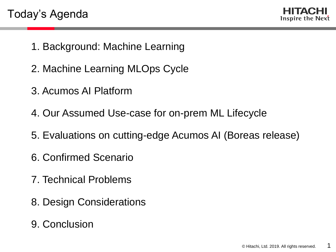

- 1. Background: Machine Learning
- 2. Machine Learning MLOps Cycle
- 3. Acumos AI Platform
- 4. Our Assumed Use-case for on-prem ML Lifecycle
- 5. Evaluations on cutting-edge Acumos AI (Boreas release)
- 6. Confirmed Scenario
- 7. Technical Problems
- 8. Design Considerations
- 9. Conclusion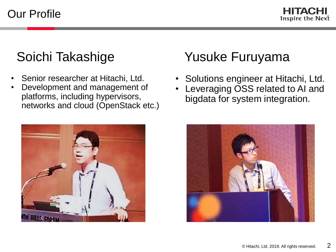Our Profile

HITACHI Inspire the Next

- Senior researcher at Hitachi, Ltd.
- Development and management of platforms, including hypervisors, networks and cloud (OpenStack etc.)



## Soichi Takashige Yusuke Furuyama

- Solutions engineer at Hitachi, Ltd.
- Leveraging OSS related to AI and bigdata for system integration.

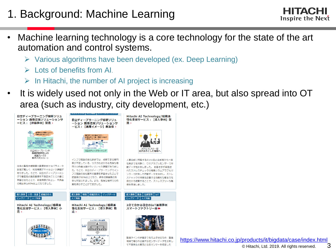### 1. Background: Machine Learning

- HITACHI Inspire the Next
- Machine learning technology is a core technology for the state of the art automation and control systems.
	- ➢ Various algorithms have been developed (ex. Deep Learning)
	- ➢ Lots of benefits from AI.
	- In Hitachi, the number of AI project is increasing
- It is widely used not only in the Web or IT area, but also spread into OT area (such as industry, city development, etc.)



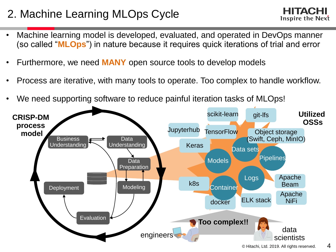### 2. Machine Learning MLOps Cycle

HITACHI Inspire the Next

- Machine learning model is developed, evaluated, and operated in DevOps manner (so called "**MLOps**") in nature because it requires quick iterations of trial and error
- Furthermore, we need **MANY** open source tools to develop models
- Process are iterative, with many tools to operate. Too complex to handle workflow.
- We need supporting software to reduce painful iteration tasks of MLOps!

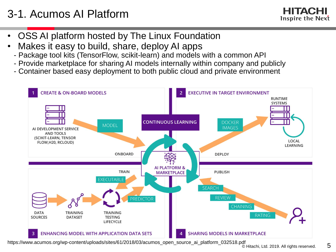### 3-1. Acumos AI Platform

Inspire the Next

- OSS AI platform hosted by The Linux Foundation
- Makes it easy to build, share, deploy AI apps
	- Package tool kits (TensorFlow, scikit-learn) and models with a common API
	- Provide marketplace for sharing AI models internally within company and publicly
	- Container based easy deployment to both public cloud and private environment



https://www.acumos.org/wp-content/uploads/sites/61/2018/03/acumos\_open\_source\_ai\_platform\_032518.pdf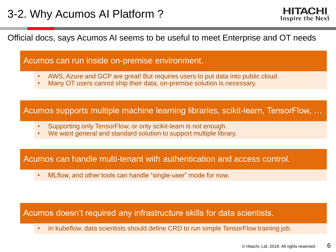Inspire the Next

Official docs, says Acumos AI seems to be useful to meet Enterprise and OT needs

#### Acumos can run inside on-premise environment.

- AWS, Azure and GCP are great! But requires users to put data into public cloud.
- Many OT users cannot ship their data, on-premise solution is necessary.

Acumos supports multiple machine learning libraries, scikit-learn, TensorFlow, …

- Supporting only TensorFlow, or only scikit-learn is not enough.
- We want general and standard solution to support multiple library.

#### Acumos can handle multi-tenant with authentication and access control.

• MLflow, and other tools can handle "single-user" mode for now.

#### Acumos doesn't required any infrastructure skills for data scientists.

• In kubeflow, data scientists should define CRD to run simple TensorFlow training job.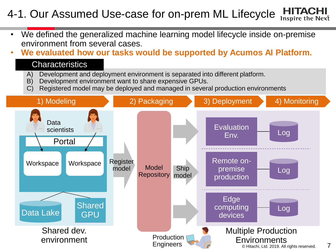#### HITACH 4-1. Our Assumed Use-case for on-prem ML Lifecycle Inspire the Next

- We defined the generalized machine learning model lifecycle inside on-premise environment from several cases.
- **We evaluated how our tasks would be supported by Acumos AI Platform.**

#### **Characteristics**

- A) Development and deployment environment is separated into different platform.
- B) Development environment want to share expensive GPUs.
- C) Registered model may be deployed and managed in several production environments

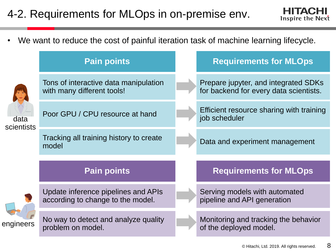### 4-2. Requirements for MLOps in on-premise env.



• We want to reduce the cost of painful iteration task of machine learning lifecycle.

| <b>Pain points</b>                                                       |  | <b>Requirements for MLOps</b>                                                  |
|--------------------------------------------------------------------------|--|--------------------------------------------------------------------------------|
| Tons of interactive data manipulation<br>with many different tools!      |  | Prepare jupyter, and integrated SDKs<br>for backend for every data scientists. |
| Poor GPU / CPU resource at hand<br>data<br>scientists                    |  | Efficient resource sharing with training<br>job scheduler                      |
| Tracking all training history to create<br>model                         |  | Data and experiment management                                                 |
| <b>Pain points</b>                                                       |  | <b>Requirements for MLOps</b>                                                  |
| Update inference pipelines and APIs<br>according to change to the model. |  | Serving models with automated<br>pipeline and API generation                   |
| No way to detect and analyze quality<br>problem on model.                |  | Monitoring and tracking the behavior<br>of the deployed model.                 |
|                                                                          |  |                                                                                |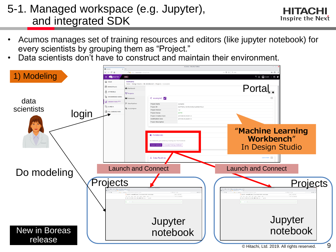#### 5-1. Managed workspace (e.g. Jupyter), and integrated SDK

- Acumos manages set of training resources and editors (like jupyter notebook) for every scientists by grouping them as "Project."
- Data scientists don't have to construct and maintain their environment.

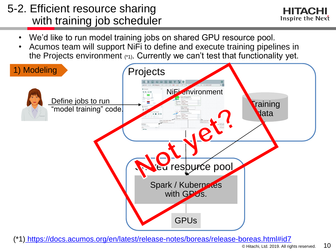### 5-2. Efficient resource sharing with training job scheduler

- We'd like to run model training jobs on shared GPU resource pool.
- Acumos team will support NiFi to define and execute training pipelines in the Projects environment (\*1). Currently we can't test that functionality yet.

![](_page_10_Figure_4.jpeg)

(\*1) <https://docs.acumos.org/en/latest/release-notes/boreas/release-boreas.html#id7>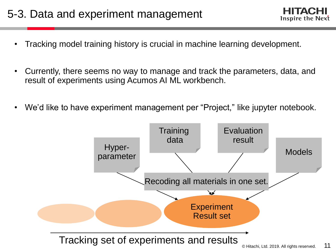![](_page_11_Picture_1.jpeg)

- Currently, there seems no way to manage and track the parameters, data, and result of experiments using Acumos AI ML workbench.
- We'd like to have experiment management per "Project," like jupyter notebook.

![](_page_11_Figure_4.jpeg)

Inspire the Next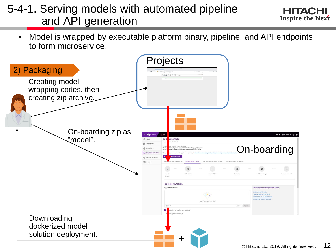### 5-4-1. Serving models with automated pipeline and API generation

![](_page_12_Picture_1.jpeg)

• Model is wrapped by executable platform binary, pipeline, and API endpoints to form microservice.

![](_page_12_Figure_3.jpeg)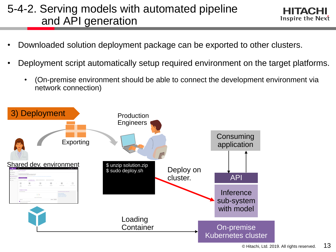### 5-4-2. Serving models with automated pipeline and API generation

- Downloaded solution deployment package can be exported to other clusters.
- Deployment script automatically setup required environment on the target platforms.
	- (On-premise environment should be able to connect the development environment via network connection)

![](_page_13_Figure_4.jpeg)

EIHACEI Inspire the Next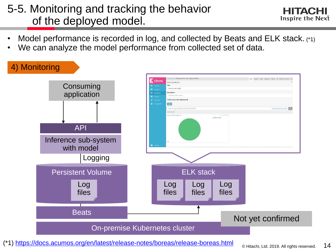#### 5-5. Monitoring and tracking the behavior of the deployed model.

![](_page_14_Picture_1.jpeg)

- Model performance is recorded in log, and collected by Beats and ELK stack. (\*1)
- We can analyze the model performance from collected set of data.

![](_page_14_Figure_4.jpeg)

(\*1)<https://docs.acumos.org/en/latest/release-notes/boreas/release-boreas.html>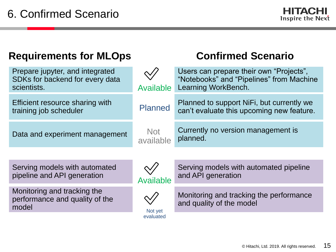| <b>Requirements for MLOps</b>                                                     |                         | <b>Confirmed Scenario</b>                                                                                  |
|-----------------------------------------------------------------------------------|-------------------------|------------------------------------------------------------------------------------------------------------|
| Prepare jupyter, and integrated<br>SDKs for backend for every data<br>scientists. | <b>Available</b>        | Users can prepare their own "Projects",<br>"Notebooks" and "Pipelines" from Machine<br>Learning WorkBench. |
| Efficient resource sharing with<br>training job scheduler                         | <b>Planned</b>          | Planned to support NiFi, but currently we<br>can't evaluate this upcoming new feature.                     |
| Data and experiment management                                                    | <b>Not</b><br>available | Currently no version management is<br>planned.                                                             |
|                                                                                   |                         |                                                                                                            |
| Serving models with automated<br>pipeline and API generation                      | <b>Available</b>        | Serving models with automated pipeline<br>and API generation                                               |
| Monitoring and tracking the<br>performance and quality of the<br>model            | Not yet                 | Monitoring and tracking the performance<br>and quality of the model                                        |
|                                                                                   | evaluated               |                                                                                                            |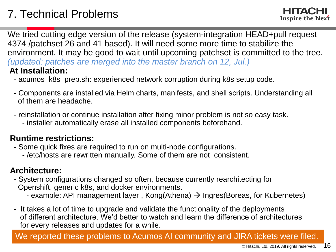We tried cutting edge version of the release (system-integration HEAD+pull request 4374 /patchset 26 and 41 based). It will need some more time to stabilize the environment. It may be good to wait until upcoming patchset is committed to the tree. *(updated: patches are merged into the master branch on 12, Jul.)* **At Installation:**

- acumos\_k8s\_prep.sh: experienced network corruption during k8s setup code.
- Components are installed via Helm charts, manifests, and shell scripts. Understanding all of them are headache.
- reinstallation or continue installation after fixing minor problem is not so easy task.
	- installer automatically erase all installed components beforehand.

#### **Runtime restrictions:**

- Some quick fixes are required to run on multi-node configurations.
	- /etc/hosts are rewritten manually. Some of them are not consistent.

#### **Architecture:**

- System configurations changed so often, because currently rearchitecting for Openshift, generic k8s, and docker environments.
	- example: API management layer, Kong(Athena)  $\rightarrow$  Ingres(Boreas, for Kubernetes)
- It takes a lot of time to upgrade and validate the functionality of the deployments of different architecture. We'd better to watch and learn the difference of architectures for every releases and updates for a while.

We reported these problems to Acumos AI community and JIRA tickets were filed.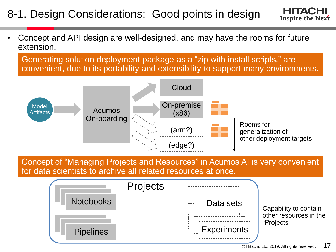### 8-1. Design Considerations: Good points in design

• Concept and API design are well-designed, and may have the rooms for future extension.

Generating solution deployment package as a "zip with install scripts." are convenient, due to its portability and extensibility to support many environments.

![](_page_17_Figure_3.jpeg)

Concept of "Managing Projects and Resources" in Acumos AI is very convenient for data scientists to archive all related resources at once.

![](_page_17_Figure_5.jpeg)

Inspire the Next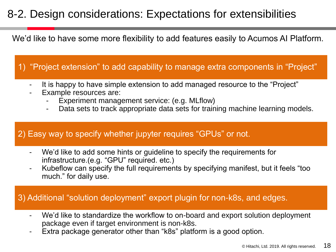#### 8-2. Design considerations: Expectations for extensibilities

We'd like to have some more flexibility to add features easily to Acumos AI Platform.

1) "Project extension" to add capability to manage extra components in "Project"

- It is happy to have simple extension to add managed resource to the "Project"
- Example resources are:
	- Experiment management service: (e.g. MLflow)
	- Data sets to track appropriate data sets for training machine learning models.

#### 2) Easy way to specify whether jupyter requires "GPUs" or not.

- We'd like to add some hints or guideline to specify the requirements for infrastructure.(e.g. "GPU" required. etc.)
- Kubeflow can specify the full requirements by specifying manifest, but it feels "too much." for daily use.

#### 3) Additional "solution deployment" export plugin for non-k8s, and edges.

- We'd like to standardize the workflow to on-board and export solution deployment package even if target environment is non-k8s.
- Extra package generator other than "k8s" platform is a good option.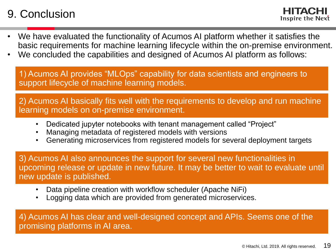#### 9. Conclusion

Inspire the Next

- We have evaluated the functionality of Acumos AI platform whether it satisfies the basic requirements for machine learning lifecycle within the on-premise environment.
- We concluded the capabilities and designed of Acumos AI platform as follows:

1) Acumos AI provides "MLOps" capability for data scientists and engineers to support lifecycle of machine learning models.

2) Acumos AI basically fits well with the requirements to develop and run machine learning models on on-premise environment.

- Dedicated jupyter notebooks with tenant management called "Project"
- Managing metadata of registered models with versions
- Generating microservices from registered models for several deployment targets

3) Acumos AI also announces the support for several new functionalities in upcoming release or update in new future. It may be better to wait to evaluate until new update is published.

- Data pipeline creation with workflow scheduler (Apache NiFi)
- Logging data which are provided from generated microservices.

4) Acumos AI has clear and well-designed concept and APIs. Seems one of the promising platforms in AI area.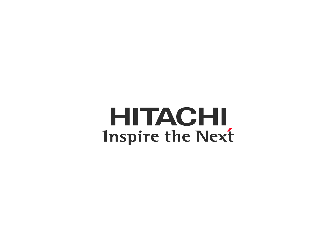**HITACHI Inspire the Next**